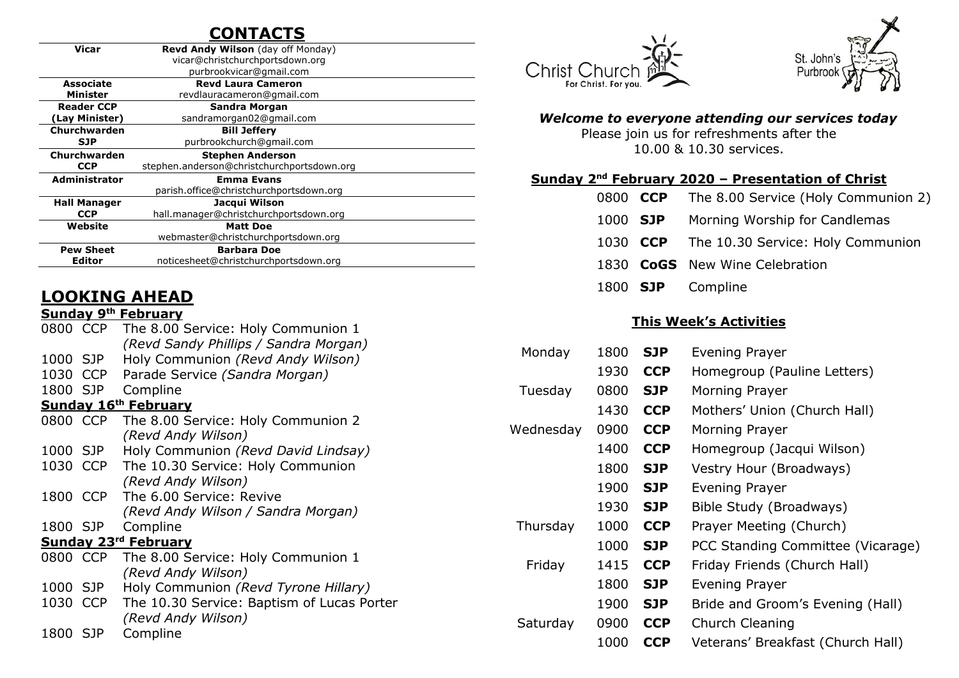# **CONTACTS**

| Vicar                | <b>Revd Andy Wilson</b> (day off Monday)   |  |  |  |
|----------------------|--------------------------------------------|--|--|--|
|                      | vicar@christchurchportsdown.org            |  |  |  |
|                      | purbrookvicar@gmail.com                    |  |  |  |
| <b>Associate</b>     | <b>Revd Laura Cameron</b>                  |  |  |  |
| Minister             | revdlauracameron@gmail.com                 |  |  |  |
| <b>Reader CCP</b>    | Sandra Morgan                              |  |  |  |
| (Lay Minister)       | sandramorgan02@gmail.com                   |  |  |  |
| Churchwarden         | <b>Bill Jeffery</b>                        |  |  |  |
| <b>SJP</b>           | purbrookchurch@gmail.com                   |  |  |  |
| Churchwarden         | <b>Stephen Anderson</b>                    |  |  |  |
| <b>CCP</b>           | stephen.anderson@christchurchportsdown.org |  |  |  |
| <b>Administrator</b> | <b>Emma Evans</b>                          |  |  |  |
|                      | parish.office@christchurchportsdown.org    |  |  |  |
| <b>Hall Manager</b>  | Jacqui Wilson                              |  |  |  |
| <b>CCP</b>           | hall.manager@christchurchportsdown.org     |  |  |  |
| Website              | <b>Matt Doe</b>                            |  |  |  |
|                      | webmaster@christchurchportsdown.org        |  |  |  |
| <b>Pew Sheet</b>     | <b>Barbara Doe</b>                         |  |  |  |
| Editor               | noticesheet@christchurchportsdown.org      |  |  |  |
|                      |                                            |  |  |  |

# **LOOKING AHEAD**

#### **Sunday 9th February**

| 0800 CCP                    | The 8.00 Service: Holy Communion 1         |  |  |  |  |  |
|-----------------------------|--------------------------------------------|--|--|--|--|--|
|                             | (Revd Sandy Phillips / Sandra Morgan)      |  |  |  |  |  |
| 1000 SJP                    | Holy Communion (Revd Andy Wilson)          |  |  |  |  |  |
| <b>CCP</b><br>1030          | Parade Service (Sandra Morgan)             |  |  |  |  |  |
| 1800 SJP                    | Compline                                   |  |  |  |  |  |
| <b>Sunday 16th February</b> |                                            |  |  |  |  |  |
| 0800 CCP                    | The 8.00 Service: Holy Communion 2         |  |  |  |  |  |
|                             | (Revd Andy Wilson)                         |  |  |  |  |  |
| 1000 SJP                    | Holy Communion (Revd David Lindsay)        |  |  |  |  |  |
| 1030 CCP                    | The 10.30 Service: Holy Communion          |  |  |  |  |  |
|                             | (Revd Andy Wilson)                         |  |  |  |  |  |
| 1800 CCP                    | The 6.00 Service: Revive                   |  |  |  |  |  |
|                             | (Revd Andy Wilson / Sandra Morgan)         |  |  |  |  |  |
| 1800 SJP                    | Compline                                   |  |  |  |  |  |
| <b>Sunday 23rd February</b> |                                            |  |  |  |  |  |
| 0800 CCP                    | The 8.00 Service: Holy Communion 1         |  |  |  |  |  |
|                             | (Revd Andy Wilson)                         |  |  |  |  |  |
| 1000<br><b>SJP</b>          | Holy Communion (Revd Tyrone Hillary)       |  |  |  |  |  |
| 1030<br><b>CCP</b>          | The 10.30 Service: Baptism of Lucas Porter |  |  |  |  |  |
|                             | (Revd Andy Wilson)                         |  |  |  |  |  |
| 1800 SJP                    | Compline                                   |  |  |  |  |  |
|                             |                                            |  |  |  |  |  |





#### *Welcome to everyone attending our services today*

Please join us for refreshments after the 10.00 & 10.30 services.

#### **Sunday 2 nd February 2020 – Presentation of Christ**

- 0800 **CCP** The 8.00 Service (Holy Communion 2)
- 1000 **SJP** Morning Worship for Candlemas
- 1030 **CCP** The 10.30 Service: Holy Communion
- 1830 **CoGS** New Wine Celebration
- 1800 **SJP** Compline

#### **This Week's Activities**

| Monday    | 1800 | <b>SJP</b> | Evening Prayer                    |
|-----------|------|------------|-----------------------------------|
|           | 1930 | <b>CCP</b> | Homegroup (Pauline Letters)       |
| Tuesday   | 0800 | <b>SJP</b> | Morning Prayer                    |
|           | 1430 | <b>CCP</b> | Mothers' Union (Church Hall)      |
| Wednesday | 0900 | <b>CCP</b> | Morning Prayer                    |
|           | 1400 | <b>CCP</b> | Homegroup (Jacqui Wilson)         |
|           | 1800 | <b>SJP</b> | Vestry Hour (Broadways)           |
|           | 1900 | <b>SJP</b> | Evening Prayer                    |
|           | 1930 | SJP.       | Bible Study (Broadways)           |
| Thursday  | 1000 | <b>CCP</b> | Prayer Meeting (Church)           |
|           | 1000 | <b>SJP</b> | PCC Standing Committee (Vicarage) |
| Friday    | 1415 | <b>CCP</b> | Friday Friends (Church Hall)      |
|           | 1800 | <b>SJP</b> | Evening Prayer                    |
|           | 1900 | <b>SJP</b> | Bride and Groom's Evening (Hall)  |
| Saturday  | 0900 | <b>CCP</b> | Church Cleaning                   |
|           | 1000 | CCP        | Veterans' Breakfast (Church Hall) |
|           |      |            |                                   |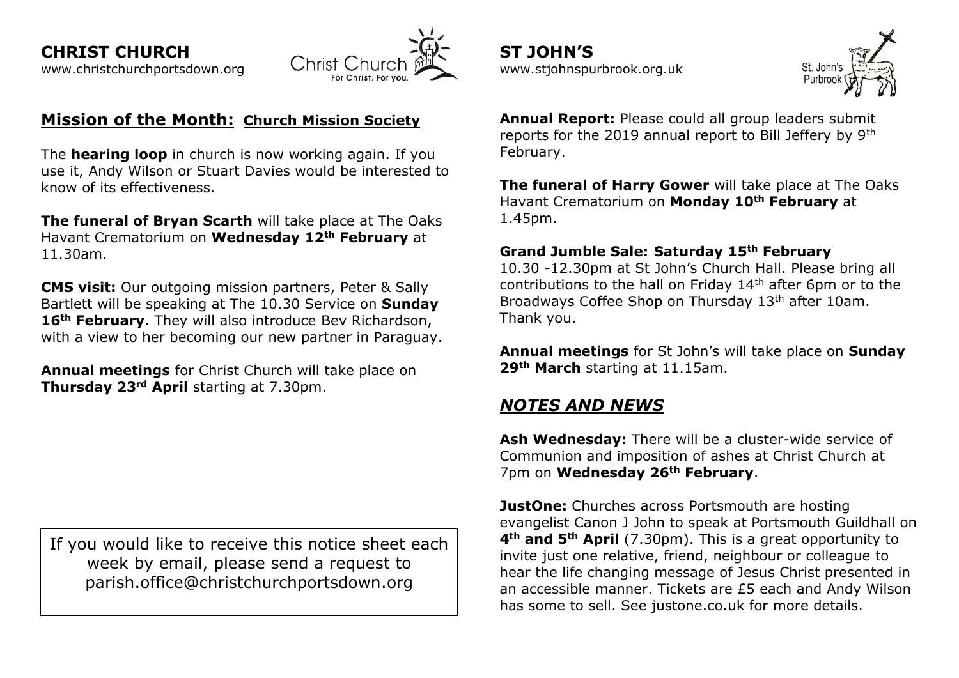

## **Mission of the Month: Church Mission Society**

The **hearing loop** in church is now working again. If you use it, Andy Wilson or Stuart Davies would be interested to know of its effectiveness.

**The funeral of Bryan Scarth** will take place at The Oaks Havant Crematorium on **Wednesday 12th February** at 11.30am.

**CMS visit:** Our outgoing mission partners, Peter & Sally Bartlett will be speaking at The 10.30 Service on **Sunday 16th February**. They will also introduce Bev Richardson, with a view to her becoming our new partner in Paraguay.

**Annual meetings** for Christ Church will take place on **Thursday 23rd April** starting at 7.30pm.

If you would like to receive this notice sheet each week by email, please send a request to parish.office@christchurchportsdown.org



**Annual Report:** Please could all group leaders submit reports for the 2019 annual report to Bill Jeffery by 9th February.

**The funeral of Harry Gower** will take place at The Oaks Havant Crematorium on **Monday 10th February** at 1.45pm.

#### **Grand Jumble Sale: Saturday 15th February**

10.30 -12.30pm at St John's Church Hall. Please bring all contributions to the hall on Friday 14th after 6pm or to the Broadways Coffee Shop on Thursday 13th after 10am. Thank you.

**Annual meetings** for St John's will take place on **Sunday 29th March** starting at 11.15am.

### *NOTES AND NEWS*

**Ash Wednesday:** There will be a cluster-wide service of Communion and imposition of ashes at Christ Church at 7pm on **Wednesday 26th February**.

**JustOne:** Churches across Portsmouth are hosting evangelist Canon J John to speak at Portsmouth Guildhall on **4th and 5th April** (7.30pm). This is a great opportunity to invite just one relative, friend, neighbour or colleague to hear the life changing message of Jesus Christ presented in an accessible manner. Tickets are £5 each and Andy Wilson has some to sell. See justone.co.uk for more details.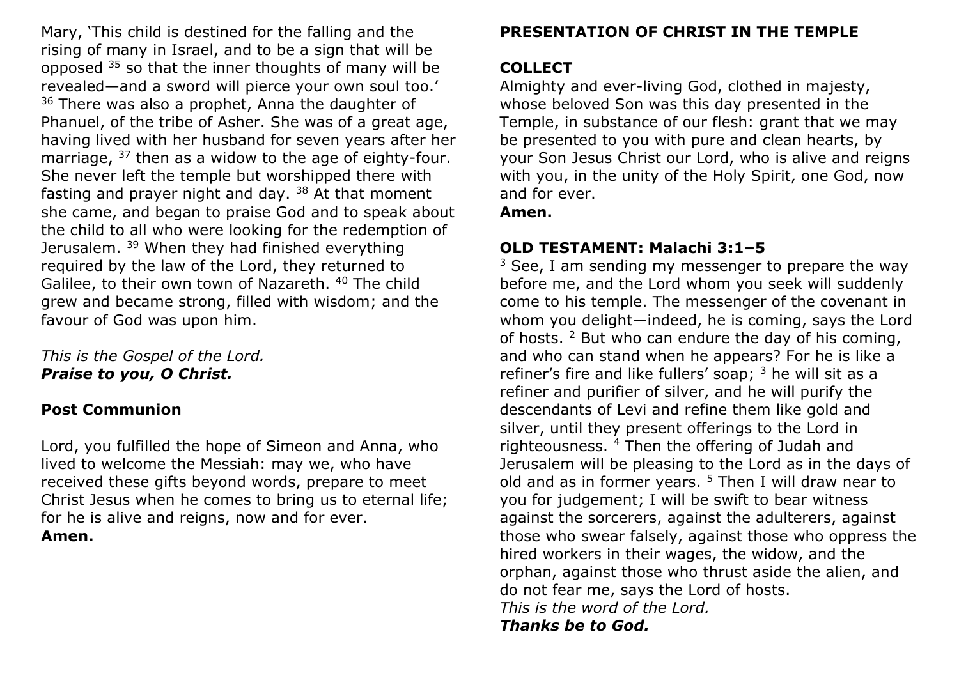Mary, 'This child is destined for the falling and the rising of many in Israel, and to be a sign that will be opposed <sup>35</sup> so that the inner thoughts of many will be revealed—and a sword will pierce your own soul too.'  $36$  There was also a prophet, Anna the daughter of Phanuel, of the tribe of Asher. She was of a great age, having lived with her husband for seven years after her marriage, <sup>37</sup> then as a widow to the age of eighty-four. She never left the temple but worshipped there with fasting and prayer night and day.  $38$  At that moment she came, and began to praise God and to speak about the child to all who were looking for the redemption of Jerusalem. <sup>39</sup> When they had finished everything required by the law of the Lord, they returned to Galilee, to their own town of Nazareth. <sup>40</sup> The child grew and became strong, filled with wisdom; and the favour of God was upon him.

*This is the Gospel of the Lord. Praise to you, O Christ.*

### **Post Communion**

Lord, you fulfilled the hope of Simeon and Anna, who lived to welcome the Messiah: may we, who have received these gifts beyond words, prepare to meet Christ Jesus when he comes to bring us to eternal life; for he is alive and reigns, now and for ever. **Amen.**

### **PRESENTATION OF CHRIST IN THE TEMPLE**

### **COLLECT**

Almighty and ever-living God, clothed in majesty, whose beloved Son was this day presented in the Temple, in substance of our flesh: grant that we may be presented to you with pure and clean hearts, by your Son Jesus Christ our Lord, who is alive and reigns with you, in the unity of the Holy Spirit, one God, now and for ever.

#### **Amen.**

## **OLD TESTAMENT: Malachi 3:1–5**

 $3$  See, I am sending my messenger to prepare the way before me, and the Lord whom you seek will suddenly come to his temple. The messenger of the covenant in whom you delight—indeed, he is coming, says the Lord of hosts.  $2$  But who can endure the day of his coming, and who can stand when he appears? For he is like a refiner's fire and like fullers' soap;  $3$  he will sit as a refiner and purifier of silver, and he will purify the descendants of Levi and refine them like gold and silver, until they present offerings to the Lord in righteousness. <sup>4</sup> Then the offering of Judah and Jerusalem will be pleasing to the Lord as in the days of old and as in former years.  $5$  Then I will draw near to you for judgement; I will be swift to bear witness against the sorcerers, against the adulterers, against those who swear falsely, against those who oppress the hired workers in their wages, the widow, and the orphan, against those who thrust aside the alien, and do not fear me, says the Lord of hosts. *This is the word of the Lord. Thanks be to God.*